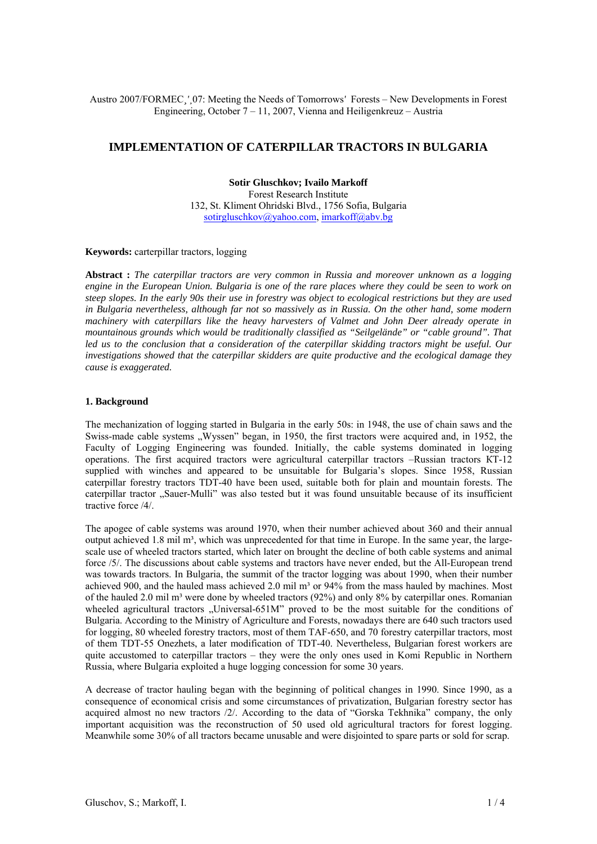Austro 2007/FORMEC*¸'*¸07: Meeting the Needs of Tomorrows*'* Forests – New Developments in Forest Engineering, October 7 – 11, 2007, Vienna and Heiligenkreuz – Austria

# **IMPLEMENTATION OF CATERPILLAR TRACTORS IN BULGARIA**

# **Sotir Gluschkov; Ivailo Markoff**

Forest Research Institute 132, St. Kliment Ohridski Blvd., 1756 Sofia, Bulgaria sotirgluschkov@yahoo.com, imarkoff@abv.bg

## **Keywords:** carterpillar tractors, logging

**Abstract :** *The caterpillar tractors are very common in Russia and moreover unknown as a logging engine in the European Union. Bulgaria is one of the rare places where they could be seen to work on steep slopes. In the early 90s their use in forestry was object to ecological restrictions but they are used in Bulgaria nevertheless, although far not so massively as in Russia. On the other hand, some modern machinery with caterpillars like the heavy harvesters of Valmet and John Deer already operate in mountainous grounds which would be traditionally classified as "Seilgelände" or "cable ground". That led us to the conclusion that a consideration of the caterpillar skidding tractors might be useful. Our investigations showed that the caterpillar skidders are quite productive and the ecological damage they cause is exaggerated.*

#### **1. Background**

The mechanization of logging started in Bulgaria in the early 50s: in 1948, the use of chain saws and the Swiss-made cable systems "Wyssen" began, in 1950, the first tractors were acquired and, in 1952, the Faculty of Logging Engineering was founded. Initially, the cable systems dominated in logging operations. The first acquired tractors were agricultural caterpillar tractors –Russian tractors КТ-12 supplied with winches and appeared to be unsuitable for Bulgaria's slopes. Since 1958, Russian caterpillar forestry tractors TDT-40 have been used, suitable both for plain and mountain forests. The caterpillar tractor "Sauer-Mulli" was also tested but it was found unsuitable because of its insufficient tractive force /4/.

The apogee of cable systems was around 1970, when their number achieved about 360 and their annual output achieved 1.8 mil m<sup>3</sup>, which was unprecedented for that time in Europe. In the same year, the largescale use of wheeled tractors started, which later on brought the decline of both cable systems and animal force /5/. The discussions about cable systems and tractors have never ended, but the All-European trend was towards tractors. In Bulgaria, the summit of the tractor logging was about 1990, when their number achieved 900, and the hauled mass achieved 2.0 mil m<sup>3</sup> or 94% from the mass hauled by machines. Most of the hauled 2.0 mil m<sup>3</sup> were done by wheeled tractors (92%) and only 8% by caterpillar ones. Romanian wheeled agricultural tractors "Universal-651M" proved to be the most suitable for the conditions of Bulgaria. According to the Ministry of Agriculture and Forests, nowadays there are 640 such tractors used for logging, 80 wheeled forestry tractors, most of them TAF-650, and 70 forestry caterpillar tractors, most of them TDT-55 Onezhets, a later modification of TDT-40. Nevertheless, Bulgarian forest workers are quite accustomed to caterpillar tractors – they were the only ones used in Komi Republic in Northern Russia, where Bulgaria exploited a huge logging concession for some 30 years.

A decrease of tractor hauling began with the beginning of political changes in 1990. Since 1990, as a consequence of economical crisis and some circumstances of privatization, Bulgarian forestry sector has acquired almost no new tractors /2/. According to the data of "Gorska Tekhnika" company, the only important acquisition was the reconstruction of 50 used old agricultural tractors for forest logging. Meanwhile some 30% of all tractors became unusable and were disjointed to spare parts or sold for scrap.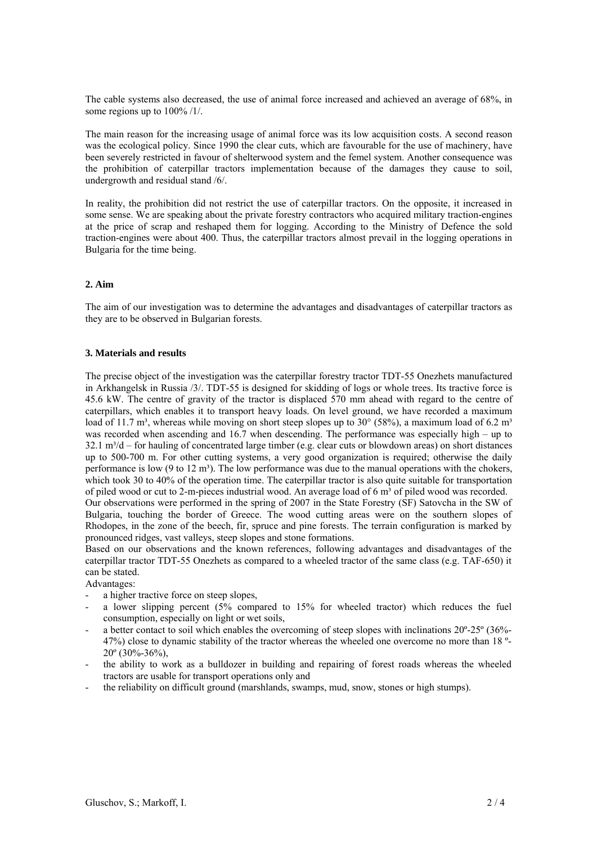The cable systems also decreased, the use of animal force increased and achieved an average of 68%, in some regions up to  $100\%$  /1/.

The main reason for the increasing usage of animal force was its low acquisition costs. A second reason was the ecological policy. Since 1990 the clear cuts, which are favourable for the use of machinery, have been severely restricted in favour of shelterwood system and the femel system. Another consequence was the prohibition of caterpillar tractors implementation because of the damages they cause to soil, undergrowth and residual stand /6/.

In reality, the prohibition did not restrict the use of caterpillar tractors. On the opposite, it increased in some sense. We are speaking about the private forestry contractors who acquired military traction-engines at the price of scrap and reshaped them for logging. According to the Ministry of Defence the sold traction-engines were about 400. Thus, the caterpillar tractors almost prevail in the logging operations in Bulgaria for the time being.

### **2. Aim**

The aim of our investigation was to determine the advantages and disadvantages of caterpillar tractors as they are to be observed in Bulgarian forests.

#### **3. Materials and results**

The precise object of the investigation was the caterpillar forestry tractor TDT-55 Onezhets manufactured in Arkhangelsk in Russia /3/. TDT-55 is designed for skidding of logs or whole trees. Its tractive force is 45.6 kW. The centre of gravity of the tractor is displaced 570 mm ahead with regard to the centre of caterpillars, which enables it to transport heavy loads. On level ground, we have recorded a maximum load of 11.7 m<sup>3</sup>, whereas while moving on short steep slopes up to 30 $^{\circ}$  (58%), a maximum load of 6.2 m<sup>3</sup> was recorded when ascending and 16.7 when descending. The performance was especially high – up to  $32.1 \text{ m}^3/\text{d}$  – for hauling of concentrated large timber (e.g. clear cuts or blowdown areas) on short distances up to 500-700 m. For other cutting systems, a very good organization is required; otherwise the daily performance is low (9 to 12 m<sup>3</sup>). The low performance was due to the manual operations with the chokers, which took 30 to 40% of the operation time. The caterpillar tractor is also quite suitable for transportation of piled wood or cut to 2-m-pieces industrial wood. An average load of 6 m<sup>3</sup> of piled wood was recorded. Our observations were performed in the spring of 2007 in the State Forestry (SF) Satovcha in the SW of Bulgaria, touching the border of Greece. The wood cutting areas were on the southern slopes of Rhodopes, in the zone of the beech, fir, spruce and pine forests. The terrain configuration is marked by pronounced ridges, vast valleys, steep slopes and stone formations.

Based on our observations and the known references, following advantages and disadvantages of the caterpillar tractor TDT-55 Onezhets as compared to a wheeled tractor of the same class (e.g. TAF-650) it can be stated.

Advantages:

- a higher tractive force on steep slopes,
- a lower slipping percent (5% compared to 15% for wheeled tractor) which reduces the fuel consumption, especially on light or wet soils,
- a better contact to soil which enables the overcoming of steep slopes with inclinations 20º-25º (36%- 47%) close to dynamic stability of the tractor whereas the wheeled one overcome no more than 18 º- $20^{\circ}$  (30%-36%),
- the ability to work as a bulldozer in building and repairing of forest roads whereas the wheeled tractors are usable for transport operations only and
- the reliability on difficult ground (marshlands, swamps, mud, snow, stones or high stumps).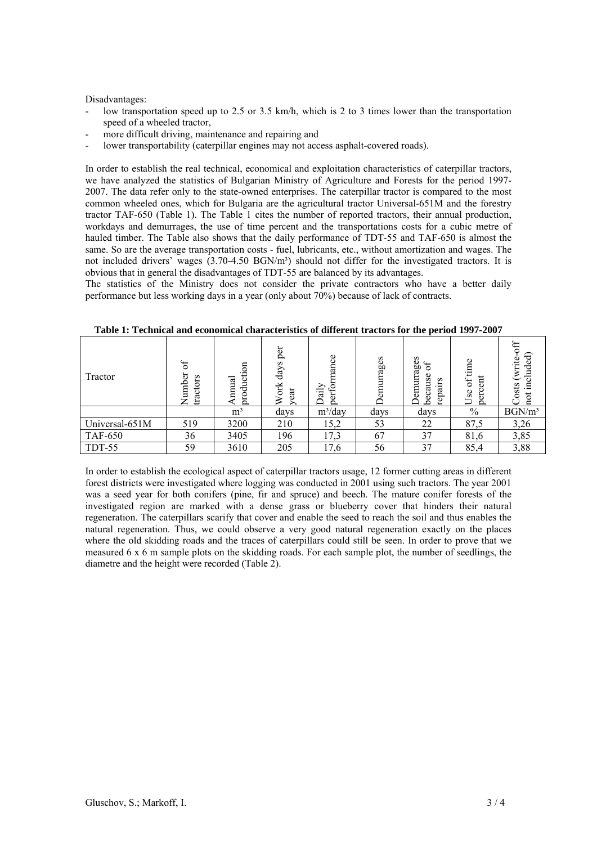Disadvantages:

- low transportation speed up to 2.5 or 3.5 km/h, which is 2 to 3 times lower than the transportation speed of a wheeled tractor,
- more difficult driving, maintenance and repairing and
- lower transportability (caterpillar engines may not access asphalt-covered roads).

In order to establish the real technical, economical and exploitation characteristics of caterpillar tractors, we have analyzed the statistics of Bulgarian Ministry of Agriculture and Forests for the period 1997- 2007. The data refer only to the state-owned enterprises. The caterpillar tractor is compared to the most common wheeled ones, which for Bulgaria are the agricultural tractor Universal-651M and the forestry tractor TAF-650 (Table 1). The Table 1 cites the number of reported tractors, their annual production, workdays and demurrages, the use of time percent and the transportations costs for a cubic metre of hauled timber. The Table also shows that the daily performance of TDT-55 and TAF-650 is almost the same. So are the average transportation costs - fuel, lubricants, etc., without amortization and wages. The not included drivers' wages (3.70-4.50 BGN/m<sup>3</sup>) should not differ for the investigated tractors. It is obvious that in general the disadvantages of TDT-55 are balanced by its advantages.

The statistics of the Ministry does not consider the private contractors who have a better daily performance but less working days in a year (only about 70%) because of lack of contracts.

| Tractor        | $\mathfrak{h}$<br>s<br>٥<br>ਠ<br>poun<br>Ē | production<br>nnual | per<br>days<br>σŔ<br>ੜ<br>$\geq$ | mance<br>erfor<br>Daily<br>Ō. | rrages | s<br>age<br>$\delta$<br>Φ<br>S<br>S<br>∃<br>em<br>ದ<br>Ã<br>Φ<br>Ò | ime<br>е¤<br>$\mathfrak{h}$<br>Use<br>εc<br>$\circ$ | ŧ<br>write<br>◡<br>sts |
|----------------|--------------------------------------------|---------------------|----------------------------------|-------------------------------|--------|--------------------------------------------------------------------|-----------------------------------------------------|------------------------|
|                |                                            | m <sup>3</sup>      | days                             | $m^3$ /day                    | days   | days                                                               | $\%$                                                | BGN/m <sup>3</sup>     |
| Universal-651M | 519                                        | 3200                | 210                              | 15,2                          | 53     | 22                                                                 | 87,5                                                | 3,26                   |
| <b>TAF-650</b> | 36                                         | 3405                | 196                              | 17,3                          | 67     | 37                                                                 | 81,6                                                | 3,85                   |
| TDT-55         | 59                                         | 3610                | 205                              | 17,6                          | 56     | 37                                                                 | 85,4                                                | 3,88                   |

**Table 1: Technical and economical characteristics of different tractors for the period 1997-2007** 

In order to establish the ecological aspect of caterpillar tractors usage, 12 former cutting areas in different forest districts were investigated where logging was conducted in 2001 using such tractors. The year 2001 was a seed year for both conifers (pine, fir and spruce) and beech. The mature conifer forests of the investigated region are marked with a dense grass or blueberry cover that hinders their natural regeneration. The caterpillars scarify that cover and enable the seed to reach the soil and thus enables the natural regeneration. Thus, we could observe a very good natural regeneration exactly on the places where the old skidding roads and the traces of caterpillars could still be seen. In order to prove that we measured  $6 \times 6$  m sample plots on the skidding roads. For each sample plot, the number of seedlings, the diametre and the height were recorded (Table 2).